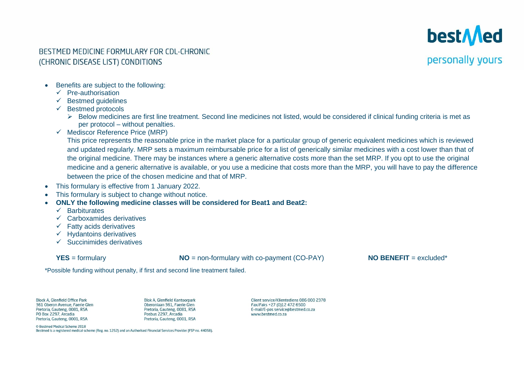

#### BESTMED MEDICINE FORMULARY FOR CDL-CHRONIC (CHRONIC DISEASE LIST) CONDITIONS

#### personally yours

- Benefits are subject to the following:
	- ✓ Pre-authorisation
	- $\checkmark$  Bestmed quidelines
	- **Bestmed protocols** 
		- ➢ Below medicines are first line treatment. Second line medicines not listed, would be considered if clinical funding criteria is met as per protocol – without penalties.
	- $\checkmark$  Mediscor Reference Price (MRP)

This price represents the reasonable price in the market place for a particular group of generic equivalent medicines which is reviewed and updated regularly. MRP sets a maximum reimbursable price for a list of generically similar medicines with a cost lower than that of the original medicine. There may be instances where a generic alternative costs more than the set MRP. If you opt to use the original medicine and a generic alternative is available, or you use a medicine that costs more than the MRP, you will have to pay the difference between the price of the chosen medicine and that of MRP.

- This formulary is effective from 1 January 2022.
- This formulary is subject to change without notice.
- **ONLY the following medicine classes will be considered for Beat1 and Beat2:**
	- ✓ Barbiturates
	- ✓ Carboxamides derivatives
	- $\checkmark$  Fatty acids derivatives
	- $\checkmark$  Hydantoins derivatives
	- $\checkmark$  Succinimides derivatives

**YES** = formulary **NO** = non-formulary with co-payment (CO-PAY) **NO** BENEFIT = excluded\*

\*Possible funding without penalty, if first and second line treatment failed.

Block A. Glenfield Office Park 361 Oberon Avenue, Faerie Glen Pretoria, Gauteng, 0081, RSA PO Box 2297, Arcadia Pretoria, Gauteng, 0001, RSA

**Blok A. Glenfield Kantoorpark** Oberonlaan 361, Faerie Glen Pretoria, Gauteng, 0081, RSA Posbus 2297, Arcadia Pretoria, Gauteng, 0001, RSA

Client service/Klientediens 086 000 2378 Fax/Faks +27 (0)12 472 6500 E-mail/E-pos service@bestmed.co.za www.bestmed.co.za

© Bestmed Medical Scheme 2018

Bestmed is a registered medical scheme (Reg. no. 1252) and an Authorised Financial Services Provider (FSP no. 44058).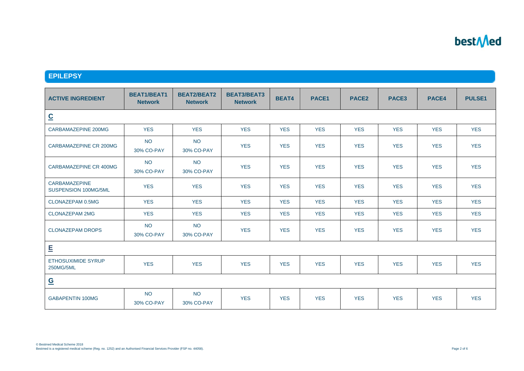#### **EPILEPSY**

| <b>ACTIVE INGREDIENT</b>                     | <b>BEAT1/BEAT1</b><br><b>Network</b> | <b>BEAT2/BEAT2</b><br><b>Network</b> | <b>BEAT3/BEAT3</b><br><b>Network</b> | <b>BEAT4</b> | PACE1      | PACE <sub>2</sub> | PACE <sub>3</sub> | PACE4      | <b>PULSE1</b> |
|----------------------------------------------|--------------------------------------|--------------------------------------|--------------------------------------|--------------|------------|-------------------|-------------------|------------|---------------|
| $\underline{\mathbf{C}}$                     |                                      |                                      |                                      |              |            |                   |                   |            |               |
| CARBAMAZEPINE 200MG                          | <b>YES</b>                           | <b>YES</b>                           | <b>YES</b>                           | <b>YES</b>   | <b>YES</b> | <b>YES</b>        | <b>YES</b>        | <b>YES</b> | <b>YES</b>    |
| CARBAMAZEPINE CR 200MG                       | <b>NO</b><br>30% CO-PAY              | <b>NO</b><br>30% CO-PAY              | <b>YES</b>                           | <b>YES</b>   | <b>YES</b> | <b>YES</b>        | <b>YES</b>        | <b>YES</b> | <b>YES</b>    |
| CARBAMAZEPINE CR 400MG                       | <b>NO</b><br>30% CO-PAY              | <b>NO</b><br>30% CO-PAY              | <b>YES</b>                           | <b>YES</b>   | <b>YES</b> | <b>YES</b>        | <b>YES</b>        | <b>YES</b> | <b>YES</b>    |
| <b>CARBAMAZEPINE</b><br>SUSPENSION 100MG/5ML | <b>YES</b>                           | <b>YES</b>                           | <b>YES</b>                           | <b>YES</b>   | <b>YES</b> | <b>YES</b>        | <b>YES</b>        | <b>YES</b> | <b>YES</b>    |
| CLONAZEPAM 0.5MG                             | <b>YES</b>                           | <b>YES</b>                           | <b>YES</b>                           | <b>YES</b>   | <b>YES</b> | <b>YES</b>        | <b>YES</b>        | <b>YES</b> | <b>YES</b>    |
| <b>CLONAZEPAM 2MG</b>                        | <b>YES</b>                           | <b>YES</b>                           | <b>YES</b>                           | <b>YES</b>   | <b>YES</b> | <b>YES</b>        | <b>YES</b>        | <b>YES</b> | <b>YES</b>    |
| <b>CLONAZEPAM DROPS</b>                      | <b>NO</b><br>30% CO-PAY              | <b>NO</b><br>30% CO-PAY              | <b>YES</b>                           | <b>YES</b>   | <b>YES</b> | <b>YES</b>        | <b>YES</b>        | <b>YES</b> | <b>YES</b>    |
| E                                            |                                      |                                      |                                      |              |            |                   |                   |            |               |
| <b>ETHOSUXIMIDE SYRUP</b><br>250MG/5ML       | <b>YES</b>                           | <b>YES</b>                           | <b>YES</b>                           | <b>YES</b>   | <b>YES</b> | <b>YES</b>        | <b>YES</b>        | <b>YES</b> | <b>YES</b>    |
| $\underline{\mathsf{G}}$                     |                                      |                                      |                                      |              |            |                   |                   |            |               |
| <b>GABAPENTIN 100MG</b>                      | <b>NO</b><br>30% CO-PAY              | <b>NO</b><br>30% CO-PAY              | <b>YES</b>                           | <b>YES</b>   | <b>YES</b> | <b>YES</b>        | <b>YES</b>        | <b>YES</b> | <b>YES</b>    |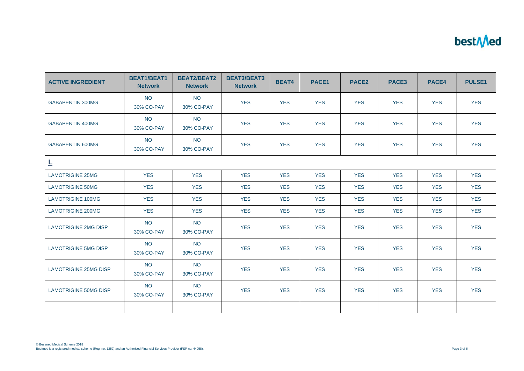| <b>ACTIVE INGREDIENT</b>     | <b>BEAT1/BEAT1</b><br><b>Network</b> | <b>BEAT2/BEAT2</b><br><b>Network</b> | <b>BEAT3/BEAT3</b><br><b>Network</b> | <b>BEAT4</b> | PACE1      | PACE <sub>2</sub> | PACE3      | PACE4      | <b>PULSE1</b> |
|------------------------------|--------------------------------------|--------------------------------------|--------------------------------------|--------------|------------|-------------------|------------|------------|---------------|
| <b>GABAPENTIN 300MG</b>      | <b>NO</b><br>30% CO-PAY              | <b>NO</b><br>30% CO-PAY              | <b>YES</b>                           | <b>YES</b>   | <b>YES</b> | <b>YES</b>        | <b>YES</b> | <b>YES</b> | <b>YES</b>    |
| <b>GABAPENTIN 400MG</b>      | <b>NO</b><br>30% CO-PAY              | <b>NO</b><br>30% CO-PAY              | <b>YES</b>                           | <b>YES</b>   | <b>YES</b> | <b>YES</b>        | <b>YES</b> | <b>YES</b> | <b>YES</b>    |
| <b>GABAPENTIN 600MG</b>      | <b>NO</b><br>30% CO-PAY              | <b>NO</b><br>30% CO-PAY              | <b>YES</b>                           | <b>YES</b>   | <b>YES</b> | <b>YES</b>        | <b>YES</b> | <b>YES</b> | <b>YES</b>    |
| L                            |                                      |                                      |                                      |              |            |                   |            |            |               |
| <b>LAMOTRIGINE 25MG</b>      | <b>YES</b>                           | <b>YES</b>                           | <b>YES</b>                           | <b>YES</b>   | <b>YES</b> | <b>YES</b>        | <b>YES</b> | <b>YES</b> | <b>YES</b>    |
| <b>LAMOTRIGINE 50MG</b>      | <b>YES</b>                           | <b>YES</b>                           | <b>YES</b>                           | <b>YES</b>   | <b>YES</b> | <b>YES</b>        | <b>YES</b> | <b>YES</b> | <b>YES</b>    |
| <b>LAMOTRIGINE 100MG</b>     | <b>YES</b>                           | <b>YES</b>                           | <b>YES</b>                           | <b>YES</b>   | <b>YES</b> | <b>YES</b>        | <b>YES</b> | <b>YES</b> | <b>YES</b>    |
| <b>LAMOTRIGINE 200MG</b>     | <b>YES</b>                           | <b>YES</b>                           | <b>YES</b>                           | <b>YES</b>   | <b>YES</b> | <b>YES</b>        | <b>YES</b> | <b>YES</b> | <b>YES</b>    |
| <b>LAMOTRIGINE 2MG DISP</b>  | <b>NO</b><br>30% CO-PAY              | <b>NO</b><br>30% CO-PAY              | <b>YES</b>                           | <b>YES</b>   | <b>YES</b> | <b>YES</b>        | <b>YES</b> | <b>YES</b> | <b>YES</b>    |
| <b>LAMOTRIGINE 5MG DISP</b>  | <b>NO</b><br>30% CO-PAY              | <b>NO</b><br>30% CO-PAY              | <b>YES</b>                           | <b>YES</b>   | <b>YES</b> | <b>YES</b>        | <b>YES</b> | <b>YES</b> | <b>YES</b>    |
| <b>LAMOTRIGINE 25MG DISP</b> | <b>NO</b><br>30% CO-PAY              | <b>NO</b><br>30% CO-PAY              | <b>YES</b>                           | <b>YES</b>   | <b>YES</b> | <b>YES</b>        | <b>YES</b> | <b>YES</b> | <b>YES</b>    |
| <b>LAMOTRIGINE 50MG DISP</b> | <b>NO</b><br>30% CO-PAY              | <b>NO</b><br>30% CO-PAY              | <b>YES</b>                           | <b>YES</b>   | <b>YES</b> | <b>YES</b>        | <b>YES</b> | <b>YES</b> | <b>YES</b>    |
|                              |                                      |                                      |                                      |              |            |                   |            |            |               |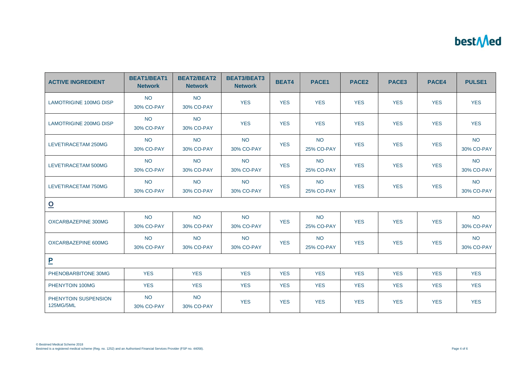| <b>ACTIVE INGREDIENT</b>          | <b>BEAT1/BEAT1</b><br><b>Network</b> | <b>BEAT2/BEAT2</b><br><b>Network</b> | <b>BEAT3/BEAT3</b><br><b>Network</b> | <b>BEAT4</b> | PACE1                   | PACE <sub>2</sub> | PACE <sub>3</sub> | PACE4      | <b>PULSE1</b>           |
|-----------------------------------|--------------------------------------|--------------------------------------|--------------------------------------|--------------|-------------------------|-------------------|-------------------|------------|-------------------------|
| <b>LAMOTRIGINE 100MG DISP</b>     | <b>NO</b><br>30% CO-PAY              | <b>NO</b><br>30% CO-PAY              | <b>YES</b>                           | <b>YES</b>   | <b>YES</b>              | <b>YES</b>        | <b>YES</b>        | <b>YES</b> | <b>YES</b>              |
| <b>LAMOTRIGINE 200MG DISP</b>     | <b>NO</b><br>30% CO-PAY              | <b>NO</b><br>30% CO-PAY              | <b>YES</b>                           | <b>YES</b>   | <b>YES</b>              | <b>YES</b>        | <b>YES</b>        | <b>YES</b> | <b>YES</b>              |
| LEVETIRACETAM 250MG               | <b>NO</b><br>30% CO-PAY              | <b>NO</b><br>30% CO-PAY              | <b>NO</b><br>30% CO-PAY              | <b>YES</b>   | <b>NO</b><br>25% CO-PAY | <b>YES</b>        | <b>YES</b>        | <b>YES</b> | <b>NO</b><br>30% CO-PAY |
| LEVETIRACETAM 500MG               | <b>NO</b><br>30% CO-PAY              | <b>NO</b><br>30% CO-PAY              | <b>NO</b><br>30% CO-PAY              | <b>YES</b>   | <b>NO</b><br>25% CO-PAY | <b>YES</b>        | <b>YES</b>        | <b>YES</b> | <b>NO</b><br>30% CO-PAY |
| LEVETIRACETAM 750MG               | <b>NO</b><br>30% CO-PAY              | <b>NO</b><br>30% CO-PAY              | <b>NO</b><br>30% CO-PAY              | <b>YES</b>   | <b>NO</b><br>25% CO-PAY | <b>YES</b>        | <b>YES</b>        | <b>YES</b> | <b>NO</b><br>30% CO-PAY |
| $\overline{\mathbf{o}}$           |                                      |                                      |                                      |              |                         |                   |                   |            |                         |
| OXCARBAZEPINE 300MG               | <b>NO</b><br>30% CO-PAY              | <b>NO</b><br>30% CO-PAY              | <b>NO</b><br>30% CO-PAY              | <b>YES</b>   | <b>NO</b><br>25% CO-PAY | <b>YES</b>        | <b>YES</b>        | <b>YES</b> | <b>NO</b><br>30% CO-PAY |
| OXCARBAZEPINE 600MG               | <b>NO</b><br>30% CO-PAY              | <b>NO</b><br>30% CO-PAY              | <b>NO</b><br>30% CO-PAY              | <b>YES</b>   | <b>NO</b><br>25% CO-PAY | <b>YES</b>        | <b>YES</b>        | <b>YES</b> | <b>NO</b><br>30% CO-PAY |
| $\mathbf{P}$                      |                                      |                                      |                                      |              |                         |                   |                   |            |                         |
| PHENOBARBITONE 30MG               | <b>YES</b>                           | <b>YES</b>                           | <b>YES</b>                           | <b>YES</b>   | <b>YES</b>              | <b>YES</b>        | <b>YES</b>        | <b>YES</b> | <b>YES</b>              |
| PHENYTOIN 100MG                   | <b>YES</b>                           | <b>YES</b>                           | <b>YES</b>                           | <b>YES</b>   | <b>YES</b>              | <b>YES</b>        | <b>YES</b>        | <b>YES</b> | <b>YES</b>              |
| PHENYTOIN SUSPENSION<br>125MG/5ML | <b>NO</b><br>30% CO-PAY              | <b>NO</b><br>30% CO-PAY              | <b>YES</b>                           | <b>YES</b>   | <b>YES</b>              | <b>YES</b>        | <b>YES</b>        | <b>YES</b> | <b>YES</b>              |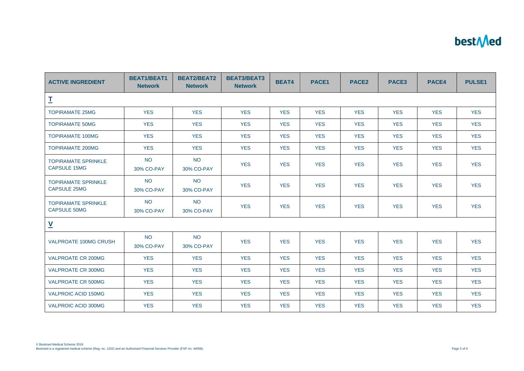| <b>ACTIVE INGREDIENT</b>                          | <b>BEAT1/BEAT1</b><br><b>Network</b> | <b>BEAT2/BEAT2</b><br><b>Network</b> | <b>BEAT3/BEAT3</b><br><b>Network</b> | <b>BEAT4</b> | PACE1      | PACE <sub>2</sub> | PACE3      | PACE4      | <b>PULSE1</b> |
|---------------------------------------------------|--------------------------------------|--------------------------------------|--------------------------------------|--------------|------------|-------------------|------------|------------|---------------|
| I                                                 |                                      |                                      |                                      |              |            |                   |            |            |               |
| <b>TOPIRAMATE 25MG</b>                            | <b>YES</b>                           | <b>YES</b>                           | <b>YES</b>                           | <b>YES</b>   | <b>YES</b> | <b>YES</b>        | <b>YES</b> | <b>YES</b> | <b>YES</b>    |
| <b>TOPIRAMATE 50MG</b>                            | <b>YES</b>                           | <b>YES</b>                           | <b>YES</b>                           | <b>YES</b>   | <b>YES</b> | <b>YES</b>        | <b>YES</b> | <b>YES</b> | <b>YES</b>    |
| <b>TOPIRAMATE 100MG</b>                           | <b>YES</b>                           | <b>YES</b>                           | <b>YES</b>                           | <b>YES</b>   | <b>YES</b> | <b>YES</b>        | <b>YES</b> | <b>YES</b> | <b>YES</b>    |
| <b>TOPIRAMATE 200MG</b>                           | <b>YES</b>                           | <b>YES</b>                           | <b>YES</b>                           | <b>YES</b>   | <b>YES</b> | <b>YES</b>        | <b>YES</b> | <b>YES</b> | <b>YES</b>    |
| <b>TOPIRAMATE SPRINKLE</b><br><b>CAPSULE 15MG</b> | <b>NO</b><br>30% CO-PAY              | <b>NO</b><br>30% CO-PAY              | <b>YES</b>                           | <b>YES</b>   | <b>YES</b> | <b>YES</b>        | <b>YES</b> | <b>YES</b> | <b>YES</b>    |
| <b>TOPIRAMATE SPRINKLE</b><br><b>CAPSULE 25MG</b> | <b>NO</b><br>30% CO-PAY              | <b>NO</b><br>30% CO-PAY              | <b>YES</b>                           | <b>YES</b>   | <b>YES</b> | <b>YES</b>        | <b>YES</b> | <b>YES</b> | <b>YES</b>    |
| <b>TOPIRAMATE SPRINKLE</b><br><b>CAPSULE 50MG</b> | <b>NO</b><br>30% CO-PAY              | <b>NO</b><br>30% CO-PAY              | <b>YES</b>                           | <b>YES</b>   | <b>YES</b> | <b>YES</b>        | <b>YES</b> | <b>YES</b> | <b>YES</b>    |
| $\underline{\mathsf{v}}$                          |                                      |                                      |                                      |              |            |                   |            |            |               |
| <b>VALPROATE 100MG CRUSH</b>                      | <b>NO</b><br>30% CO-PAY              | <b>NO</b><br>30% CO-PAY              | <b>YES</b>                           | <b>YES</b>   | <b>YES</b> | <b>YES</b>        | <b>YES</b> | <b>YES</b> | <b>YES</b>    |
| VALPROATE CR 200MG                                | <b>YES</b>                           | <b>YES</b>                           | <b>YES</b>                           | <b>YES</b>   | <b>YES</b> | <b>YES</b>        | <b>YES</b> | <b>YES</b> | <b>YES</b>    |
| <b>VALPROATE CR 300MG</b>                         | <b>YES</b>                           | <b>YES</b>                           | <b>YES</b>                           | <b>YES</b>   | <b>YES</b> | <b>YES</b>        | <b>YES</b> | <b>YES</b> | <b>YES</b>    |
| <b>VALPROATE CR 500MG</b>                         | <b>YES</b>                           | <b>YES</b>                           | <b>YES</b>                           | <b>YES</b>   | <b>YES</b> | <b>YES</b>        | <b>YES</b> | <b>YES</b> | <b>YES</b>    |
| <b>VALPROIC ACID 150MG</b>                        | <b>YES</b>                           | <b>YES</b>                           | <b>YES</b>                           | <b>YES</b>   | <b>YES</b> | <b>YES</b>        | <b>YES</b> | <b>YES</b> | <b>YES</b>    |
| VALPROIC ACID 300MG                               | <b>YES</b>                           | <b>YES</b>                           | <b>YES</b>                           | <b>YES</b>   | <b>YES</b> | <b>YES</b>        | <b>YES</b> | <b>YES</b> | <b>YES</b>    |